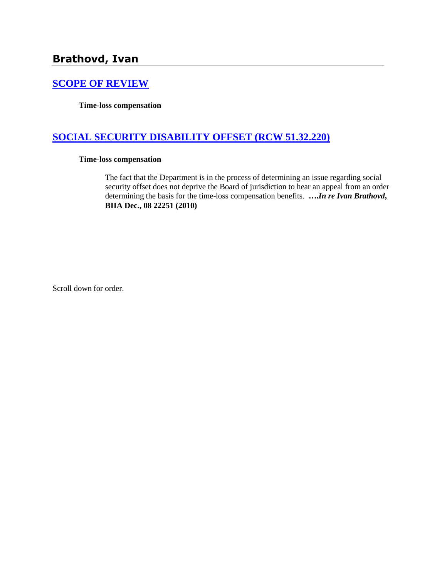# **Brathovd, Ivan**

### **[SCOPE OF REVIEW](http://www.biia.wa.gov/SDSubjectIndex.html#SCOPE_OF_REVIEW)**

**Time-loss compensation**

### **[SOCIAL SECURITY DISABILITY OFFSET \(RCW 51.32.220\)](http://www.biia.wa.gov/SDSubjectIndex.html#SOCIAL_SECURITY_DISABILITY_OFFSET)**

#### **Time-loss compensation**

The fact that the Department is in the process of determining an issue regarding social security offset does not deprive the Board of jurisdiction to hear an appeal from an order determining the basis for the time-loss compensation benefits. **….***In re Ivan Brathovd***, BIIA Dec., 08 22251 (2010)**

Scroll down for order.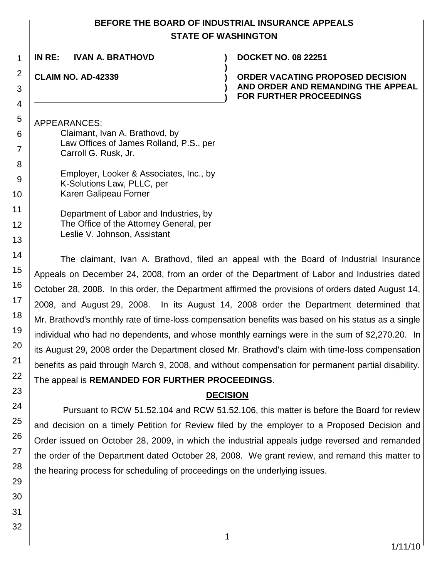### **BEFORE THE BOARD OF INDUSTRIAL INSURANCE APPEALS STATE OF WASHINGTON**

**)**

**) )**

**IN RE: IVAN A. BRATHOVD ) DOCKET NO. 08 22251**

**CLAIM NO. AD-42339 )**

**ORDER VACATING PROPOSED DECISION AND ORDER AND REMANDING THE APPEAL FOR FURTHER PROCEEDINGS**

APPEARANCES:

| Claimant, Ivan A. Brathovd, by<br>Law Offices of James Rolland, P.S., per<br>Carroll G. Rusk, Jr. |
|---------------------------------------------------------------------------------------------------|
| Employer, Looker & Associates, Inc., by<br>K-Solutions Law, PLLC, per<br>Karen Galipeau Forner    |

Department of Labor and Industries, by The Office of the Attorney General, per Leslie V. Johnson, Assistant

The claimant, Ivan A. Brathovd, filed an appeal with the Board of Industrial Insurance Appeals on December 24, 2008, from an order of the Department of Labor and Industries dated October 28, 2008. In this order, the Department affirmed the provisions of orders dated August 14, 2008, and August 29, 2008. In its August 14, 2008 order the Department determined that Mr. Brathovd's monthly rate of time-loss compensation benefits was based on his status as a single individual who had no dependents, and whose monthly earnings were in the sum of \$2,270.20. In its August 29, 2008 order the Department closed Mr. Brathovd's claim with time-loss compensation benefits as paid through March 9, 2008, and without compensation for permanent partial disability. The appeal is **REMANDED FOR FURTHER PROCEEDINGS**.

## **DECISION**

Pursuant to RCW 51.52.104 and RCW 51.52.106, this matter is before the Board for review and decision on a timely Petition for Review filed by the employer to a Proposed Decision and Order issued on October 28, 2009, in which the industrial appeals judge reversed and remanded the order of the Department dated October 28, 2008. We grant review, and remand this matter to the hearing process for scheduling of proceedings on the underlying issues.

1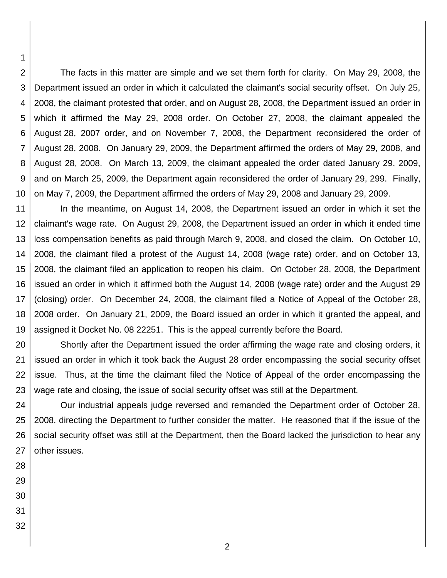2 3 4 5 6 7 8 9 10 The facts in this matter are simple and we set them forth for clarity. On May 29, 2008, the Department issued an order in which it calculated the claimant's social security offset. On July 25, 2008, the claimant protested that order, and on August 28, 2008, the Department issued an order in which it affirmed the May 29, 2008 order. On October 27, 2008, the claimant appealed the August 28, 2007 order, and on November 7, 2008, the Department reconsidered the order of August 28, 2008. On January 29, 2009, the Department affirmed the orders of May 29, 2008, and August 28, 2008. On March 13, 2009, the claimant appealed the order dated January 29, 2009, and on March 25, 2009, the Department again reconsidered the order of January 29, 299. Finally, on May 7, 2009, the Department affirmed the orders of May 29, 2008 and January 29, 2009.

11 12 13 14 15 16 17 18 19 In the meantime, on August 14, 2008, the Department issued an order in which it set the claimant's wage rate. On August 29, 2008, the Department issued an order in which it ended time loss compensation benefits as paid through March 9, 2008, and closed the claim. On October 10, 2008, the claimant filed a protest of the August 14, 2008 (wage rate) order, and on October 13, 2008, the claimant filed an application to reopen his claim. On October 28, 2008, the Department issued an order in which it affirmed both the August 14, 2008 (wage rate) order and the August 29 (closing) order. On December 24, 2008, the claimant filed a Notice of Appeal of the October 28, 2008 order. On January 21, 2009, the Board issued an order in which it granted the appeal, and assigned it Docket No. 08 22251. This is the appeal currently before the Board.

20 21 22 23 Shortly after the Department issued the order affirming the wage rate and closing orders, it issued an order in which it took back the August 28 order encompassing the social security offset issue. Thus, at the time the claimant filed the Notice of Appeal of the order encompassing the wage rate and closing, the issue of social security offset was still at the Department.

24 25 26 27 Our industrial appeals judge reversed and remanded the Department order of October 28, 2008, directing the Department to further consider the matter. He reasoned that if the issue of the social security offset was still at the Department, then the Board lacked the jurisdiction to hear any other issues.

28

29

30

31

32

1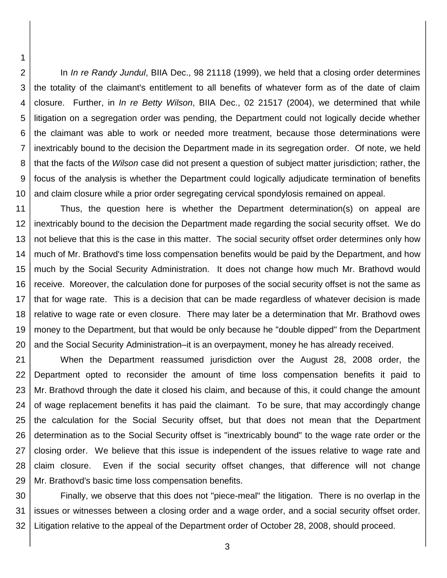2 3 4 5 6 7 8 9 10 In *In re Randy Jundul*, BIIA Dec., 98 21118 (1999), we held that a closing order determines the totality of the claimant's entitlement to all benefits of whatever form as of the date of claim closure. Further, in *In re Betty Wilson*, BIIA Dec., 02 21517 (2004), we determined that while litigation on a segregation order was pending, the Department could not logically decide whether the claimant was able to work or needed more treatment, because those determinations were inextricably bound to the decision the Department made in its segregation order. Of note, we held that the facts of the *Wilson* case did not present a question of subject matter jurisdiction; rather, the focus of the analysis is whether the Department could logically adjudicate termination of benefits and claim closure while a prior order segregating cervical spondylosis remained on appeal.

1

11 12 13 14 15 16 17 18 19 20 Thus, the question here is whether the Department determination(s) on appeal are inextricably bound to the decision the Department made regarding the social security offset. We do not believe that this is the case in this matter. The social security offset order determines only how much of Mr. Brathovd's time loss compensation benefits would be paid by the Department, and how much by the Social Security Administration. It does not change how much Mr. Brathovd would receive. Moreover, the calculation done for purposes of the social security offset is not the same as that for wage rate. This is a decision that can be made regardless of whatever decision is made relative to wage rate or even closure. There may later be a determination that Mr. Brathovd owes money to the Department, but that would be only because he "double dipped" from the Department and the Social Security Administration–it is an overpayment, money he has already received.

21 22 23 24 25 26 27 28 29 When the Department reassumed jurisdiction over the August 28, 2008 order, the Department opted to reconsider the amount of time loss compensation benefits it paid to Mr. Brathovd through the date it closed his claim, and because of this, it could change the amount of wage replacement benefits it has paid the claimant. To be sure, that may accordingly change the calculation for the Social Security offset, but that does not mean that the Department determination as to the Social Security offset is "inextricably bound" to the wage rate order or the closing order. We believe that this issue is independent of the issues relative to wage rate and claim closure. Even if the social security offset changes, that difference will not change Mr. Brathovd's basic time loss compensation benefits.

30 31 32 Finally, we observe that this does not "piece-meal" the litigation. There is no overlap in the issues or witnesses between a closing order and a wage order, and a social security offset order. Litigation relative to the appeal of the Department order of October 28, 2008, should proceed.

3